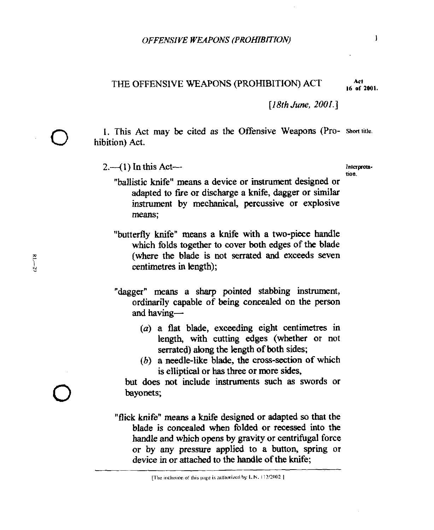THE OFFENSIVE WEAPONS (PROHIBITION) ACT **16 of 2001.** 

*[18fh June,* **ZOOZ.]** 

**1.** This Act may be cited **as** the Offensive Weapons (Pro- Shorttitle. *0* hibition) Act.

2. (1) In this Act-

**non.** 

"ballistic knife" means a device or instrument designed or adapted to fire or discharge a knife, dagger or similar instrument by mechanical, percussive or explosive **means;** 

"butterfly knife" **means** a knife with a two-piece handle which folds together to cover both edges of the blade (where the blade is not serrated and exceeds seven centimetres in length);

"dagger" **means a sharp** pointed stabbing instrument, ordinarily capable *of being* conceded **on** the person and having-

- (a) **a** flat blade, exceeding eight centimetres in length, with cutting edges (whether or not serrated) along the length of both sides;
- *(b)* a needle-like blade, **the** cross-section of which is elliptical or has three or **more** sides,

but does not include instruments such **as** swords or **D** but does bayonets;

> **"flick knife"** means a knife designed or adapted *so* that the blade is concealed when folded or recessed into **the**  handle and which **opens** by gravity or centrifugal force or by any **pressure** applied to a button, spring or device in or attached **to** the handle of the **knife;**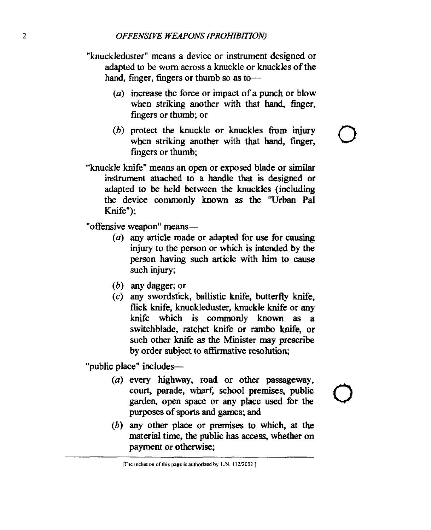## *2 OFFENSIVE WEAPONS (PROHI3ITION)*

- "knuckleduster" means a device or instrument designed or adapted to be worn across a knuckle or knuckles of the hand, finger, fingers or thumb so as to-
	- (a) increase the force or impact of a punch or blow when striking another with that hand, finger, fingers or thumb; or
	- *(b)* protect the knuckle or knuckles **from** injury when striking another with that hand, finger, fingers or thumb;

*U* 

"knuckle knife" means **an open** or exposed blade or similar instrument attached to a handle that is designed or adapted **to be** held between the knuckles (including the device **commonly** known **as** the "Urban **Pal**  Knife"):

"offensive weapon" means-

- (a) **any** article **made** or adapted for use for causing injury to the person or which is intended by the person having such article with him to *cause*  such injury;
- (6) any dagger; or
- **(c)** any swordstick, ballistic knife, butterfly knife, flick knife, knuckleduster, knuckle **knife** or any knife which is commonly known **as** a switchblade, ratchet knife or rambo knife, or such other knife **as** the Minister may prescribe by order subject **to** affirmative resolution;

"public place" includes-

- *(U)* every highway, road or *other* passageway, court, parade, wharf; school premises, public garden, open space or any place used for the purposes of **sports** and **games; and**
- (6) any other **place** or premises to which, at *the*  material time, the public **has access,** whether **on**  payment or **otherwise;**

 $[The inclusion of this page is authorized by L.N. 112/2002]$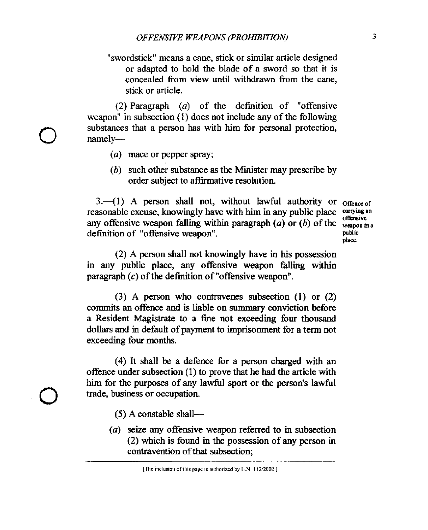"swordstick" means a cane, stick or similar article designed or adapted to hold the blade of a sword so that it is concealed from view until withdrawn from the cane, stick or article.

(2) Paragraph (a) of the definition of "offensive weapon" in subsection (1) does not include any of the following substances that a person has with him for personal protection, namely-

- (a) mace or pepper spray;
- (b) such other substance **as** the Minister may prescribe by order subject to affirmative resolution.

 $3.-(1)$  A person shall not, without lawful authority or  $_{{\text{Office of}}}$ reasonable excuse, knowingly have with him in any public place **carrying'n**  any offensive weapon falling within paragraph  $(a)$  or  $(b)$  of the  $\frac{one}{mean in a}$ definition of "offensive weapon". **PUBLIC 2018** Public Public

**Offensive plsce.** 

(2) A **person** shall not knowingly have in **his** possession in any public place, any offensive weapon falling within paragraph *(c)* of the definition of "offensive weapon".

(3) A person who contravenes subsection **(1)** or (2) commits an offence and is liable on *sumfnary* conviction **before**  a Resident Magistrate to a fine not exceeding four thousand dollars and in default of payment to imprisonment for a term not exceeding four months.

**(4) It** shall be a defence for a person charged with an offence under subsection (1) to prove that he had the article with him for the purposes of any lawful sport or the person's lawful trade, business or occupation.

*(5)* A constable **shall-** 

(a) *seize* any offensive weapon referred to in subsection (2) which is found in the possession of any person in contravention of that subsection;

<sup>[</sup>The inclusion of this page is authorized by L.N. 112/2002]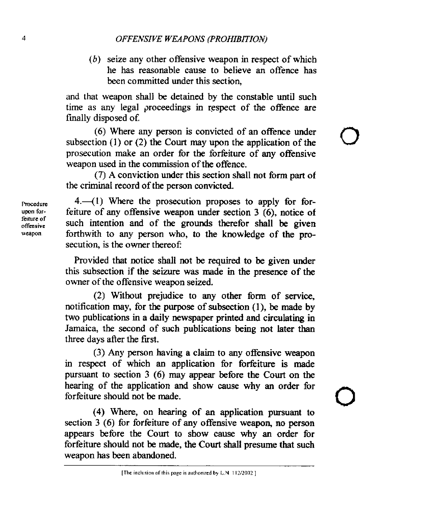(b) seize any other offensive weapon in respect of which he has reasonable cause to believe an offence has been committed under this section,

*0* 

**and** that weapon shall be detained by the constable until such time as any legal proceedings in respect of the offence are finally disposed of.

(6) Where **any** person is convicted of an offence under subsection (1) or (2) the Court may upon the application of the prosecution make an order for the forfeiture of any offensive weapon used in the commission of the offence.

(7) A conviction under this section shall not form part of the criminal record of the person convicted.

**4.41)** Where the prosecution proposes to apply for forfeiture of any offensive weapon **under** section 3 **(6),** notice of such intention and of the grounds therefor shall be given forthwith to any person who, to the knowledge of the prosecution, is the owner thereof:

Provided that notice shall not be required to be given under this subsection if the **seizure** was made in the presence of the owner of the offensive weapon seized.

(2) Without prejudice to any other form of **service,**  notification may, for the purpose of subsection **(l),** be made by two publications in a daily newspaper printed and circulating in Jamaica, the second of such publications **being** not later than three days after the first.

**(3) Any** person having a claim to any offensive weapon in respect of which an application for forfeiture is **made**  pursuant to section 3 (6) may appear before the Court on the hearing of the application and show **cause** why an order for forfeiture should not be made.

**(4)** Where, on hearing of an application pursuant to section 3 (6) for forfeiture of any offensive weapon, no person appears before the Court to show cause why an order **for**  forfeiture should not be made, the **Court** shall presume that such weapon has been abandoned.

**Procedure**  upon for $of$ **fensive** weapon. **feirure of** 

**<sup>[</sup>The tnciizsioii of** this **page is authorized by L.N I1212002** ]